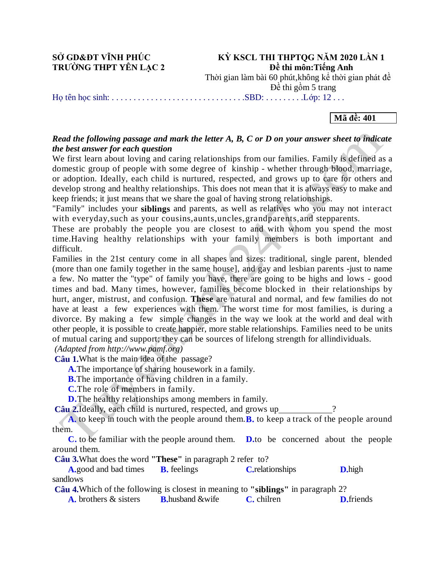**SỞ GD&ĐT VĨNH PHÚC KỲ KSCL THI THPTOG NĂM 2020 LẦN 1 TRƯỜNG THPT YÊN LẠC 2 Dề** thi môn: Tiếng Anh

Thời gian làm bài 60 phút,không kể thời gian phát đề

Đề thi gồm 5 trang

Họ tên học sinh: . . . . . . . . . . . . . . . . . . . . . . . . . . . . . . .SBD: . . . . . . . . .Lớp: 12 . . .

#### **Mã đề: 401**

#### *Read the following passage and mark the letter A, B, C or D on your answer sheet to indicate the best answer for each question*

We first learn about loving and caring relationships from our families. Family is defined as a domestic group of people with some degree of kinship - whether through blood, marriage, or adoption. Ideally, each child is nurtured, respected, and grows up to care for others and develop strong and healthy relationships. This does not mean that it is always easy to make and keep friends; it just means that we share the goal of having strong relationships.

"Family" includes your **siblings** and parents, as well as relatives who you may not interact with everyday,such as your cousins,aunts,uncles,grandparents,and stepparents.

These are probably the people you are closest to and with whom you spend the most time.Having healthy relationships with your family members is both important and difficult.

Families in the 21st century come in all shapes and sizes: traditional, single parent, blended (more than one family together in the same house], and gay and lesbian parents -just to name a few. No matter the "type" of family you have, there are going to be highs and lows - good times and bad. Many times, however, families become blocked in their relationships by hurt, anger, mistrust, and confusion. **These** are natural and normal, and few families do not have at least a few experiences with them. The worst time for most families, is during a divorce. By making a few simple changes in the way we look at the world and deal with other people, it is possible to create happier, more stable relationships. Families need to be units of mutual caring and support; they can be sources of lifelong strength for allindividuals. *(Adapted from http://www.pamf.org)*

**Câu 1.**What is the main idea of the passage?

**A.**The importance of sharing housework in a family.

**B.**The importance of having children in a family.

**C.**The role of members in family.

**D.**The healthy relationships among members in family.

**Câu 2.**Ideally, each child is nurtured, respected, and grows up

**A.** to keep in touch with the people around them.**B.** to keep a track of the people around them.

**C.** to be familiar with the people around them. **D.**to be concerned about the people around them.

**Câu 3.**What does the word **"These"** in paragraph 2 refer to?

**A.**good and bad times **B.** feelings **C.**relationships **D.**high sandlows **Câu 4.**Which of the following is closest in meaning to **"siblings"** in paragraph 2?

**A.** brothers & sisters **B.**husband &wife **C.** chilren **D.**friends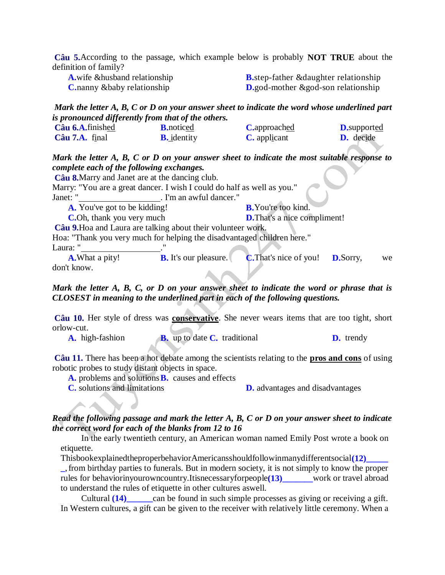**Câu 5.**According to the passage, which example below is probably **NOT TRUE** about the definition of family?

| <b>A</b> , wife & husband relationship | <b>B</b> .step-father & daughter relationship  |
|----------------------------------------|------------------------------------------------|
| <b>C</b> , nanny & baby relationship   | <b>D.</b> god-mother $\&$ god-son relationship |

#### *Mark the letter A, B, C or D on your answer sheet to indicate the word whose underlined part is pronounced differently from that of the others.*

| Câu 6.A.finished        | <b>B.</b> noticed  | <b>C</b> .approached | <b>D</b> .supported |
|-------------------------|--------------------|----------------------|---------------------|
| $C\hat{a}$ u 7.A. final | <b>B.</b> identity | <b>C.</b> applicant  | <b>D.</b> decide    |

*Mark the letter A, B, C or D on your answer sheet to indicate the most suitable response to complete each of the following exchanges.*

**Câu 8.**Marry and Janet are at the dancing club. Marry: "You are a great dancer. I wish I could do half as well as you." Janet: " . I'm an awful dancer." **A.** You've got to be kidding! **B.** You're too kind. **C.**Oh, thank you very much **D.**That's a nice compliment! **Câu 9.**Hoa and Laura are talking about their volunteer work. Hoa: "Thank you very much for helping the disadvantaged children here." Laura: " **A.**What a pity! **B.** It's our pleasure. **C.**That's nice of you! **D.**Sorry, we don't know.

# *Mark the letter A, B, C, or D on your answer sheet to indicate the word or phrase that is CLOSEST in meaning to the underlined part in each of the following questions.*

**Câu 10.** Her style of dress was **conservative**. She never wears items that are too tight, short orlow-cut.

**A.** high-fashion **B.** up to date **C.** traditional **D.** trendy

**Câu 11.** There has been a hot debate among the scientists relating to the **pros and cons** of using robotic probes to study distant objects in space.

**A.** problems and solutions**B.** causes and effects

**C.** solutions and limitations **D.** advantages and disadvantages

## *Read the following passage and mark the letter A, B, C or D on your answer sheet to indicate the correct word for each of the blanks from 12 to 16*

In the early twentieth century, an American woman named Emily Post wrote a book on etiquette.

ThisbookexplainedtheproperbehaviorAmericansshouldfollowinmanydifferentsocial**(12)\_\_\_\_\_**

**\_**, from birthday parties to funerals. But in modern society, it is not simply to know the proper rules for behaviorinyourowncountry.Itisnecessaryforpeople**(13)\_\_\_\_\_\_\_**work or travel abroad to understand the rules of etiquette in other cultures aswell.

Cultural **(14)** can be found in such simple processes as giving or receiving a gift. In Western cultures, a gift can be given to the receiver with relatively little ceremony. When a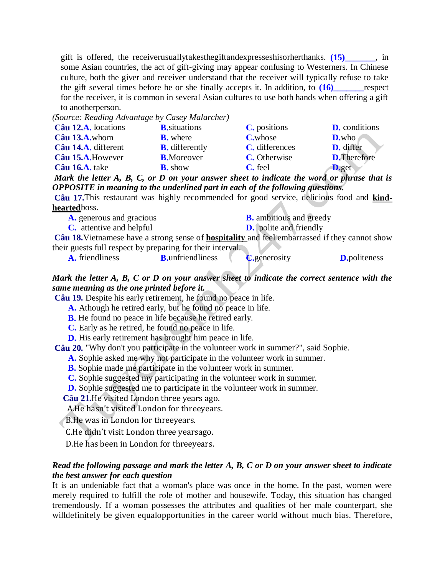gift is offered, the receiverusuallytakesthegiftandexpresseshisorherthanks. **(15)\_\_\_\_\_\_\_**, in some Asian countries, the act of gift-giving may appear confusing to Westerners. In Chinese culture, both the giver and receiver understand that the receiver will typically refuse to take the gift several times before he or she finally accepts it. In addition, to  $(16)$  respect for the receiver, it is common in several Asian cultures to use both hands when offering a gift to anotherperson.

*(Source: Reading Advantage by Casey Malarcher)* **Câu 12.A.** locations **B.**situations **C.** positions **D.** conditions **Câu 13.A.**whom **B.** where **C.**whose **D.**who **Câu 14.A.** different **B.** differently **C.** differences **D.** differ **Câu 15.A.**However **B.**Moreover **C.** Otherwise **D.**Therefore **Câu 16.A.** take **B.** show **C.** feel **D.**get

*Mark the letter A, B, C, or D on your answer sheet to indicate the word or phrase that is OPPOSITE in meaning to the underlined part in each of the following questions.*

**Câu 17.**This restaurant was highly recommended for good service, delicious food and **kindhearted**boss.

| <b>A.</b> generous and gracious                                                                |                          | <b>B.</b> ambitious and greedy |                     |
|------------------------------------------------------------------------------------------------|--------------------------|--------------------------------|---------------------|
| C. attentive and helpful                                                                       |                          | <b>D.</b> polite and friendly  |                     |
| Câu 18. Vietnamese have a strong sense of hospitality and feel embarrassed if they cannot show |                          |                                |                     |
| their guests full respect by preparing for their interval.                                     |                          |                                |                     |
| <b>A.</b> friendliness                                                                         | <b>B</b> .unfriendliness | <b>C</b> .generosity           | <b>D.politeness</b> |
|                                                                                                |                          |                                |                     |

# *Mark the letter A, B, C or D on your answer sheet to indicate the correct sentence with the same meaning as the one printed before it.*

**Câu 19.** Despite his early retirement, he found no peace in life.

**A.** Athough he retired early, but he found no peace in life.

**B.** He found no peace in life because he retired early.

**C.** Early as he retired, he found no peace in life.

**D.** His early retirement has brought him peace in life.

**Câu 20.** "Why don't you participate in the volunteer work in summer?", said Sophie.

**A.** Sophie asked me why not participate in the volunteer work in summer.

**B.** Sophie made me participate in the volunteer work in summer.

**C.** Sophie suggested my participating in the volunteer work in summer.

**D.** Sophie suggested me to participate in the volunteer work in summer.

**Câu 21.**He visited London three years ago.

A.He hasn't visited London for threeyears.

B.He was in London for threeyears.

C.He didn't visit London three yearsago.

D.He has been in London for threeyears.

## *Read the following passage and mark the letter A, B, C or D on your answer sheet to indicate the best answer for each question*

It is an undeniable fact that a woman's place was once in the home. In the past, women were merely required to fulfill the role of mother and housewife. Today, this situation has changed tremendously. If a woman possesses the attributes and qualities of her male counterpart, she willdefinitely be given equalopportunities in the career world without much bias. Therefore,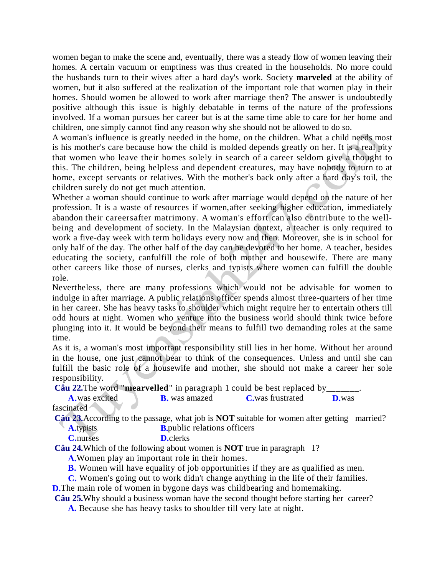women began to make the scene and, eventually, there was a steady flow of women leaving their homes. A certain vacuum or emptiness was thus created in the households. No more could the husbands turn to their wives after a hard day's work. Society **marveled** at the ability of women, but it also suffered at the realization of the important role that women play in their homes. Should women be allowed to work after marriage then? The answer is undoubtedly positive although this issue is highly debatable in terms of the nature of the professions involved. If a woman pursues her career but is at the same time able to care for her home and children, one simply cannot find any reason why she should not be allowed to do so.

A woman's influence is greatly needed in the home, on the children. What a child needs most is his mother's care because how the child is molded depends greatly on her. It is a real pity that women who leave their homes solely in search of a career seldom give a thought to this. The children, being helpless and dependent creatures, may have nobody to turn to at home, except servants or relatives. With the mother's back only after a hard day's toil, the children surely do not get much attention.

Whether a woman should continue to work after marriage would depend on the nature of her profession. It is a waste of resources if women,after seeking higher education, immediately abandon their careersafter matrimony. A woman's effort can also contribute to the wellbeing and development of society. In the Malaysian context, a teacher is only required to work a five-day week with term holidays every now and then. Moreover, she is in school for only half of the day. The other half of the day can be devoted to her home. A teacher, besides educating the society, canfulfill the role of both mother and housewife. There are many other careers like those of nurses, clerks and typists where women can fulfill the double role.

Nevertheless, there are many professions which would not be advisable for women to indulge in after marriage. A public relations officer spends almost three-quarters of her time in her career. She has heavy tasks to shoulder which might require her to entertain others till odd hours at night. Women who venture into the business world should think twice before plunging into it. It would be beyond their means to fulfill two demanding roles at the same time.

As it is, a woman's most important responsibility still lies in her home. Without her around in the house, one just cannot bear to think of the consequences. Unless and until she can fulfill the basic role of a housewife and mother, she should not make a career her sole responsibility.

**Câu 22.**The word "**mearvelled**" in paragraph 1 could be best replaced by\_\_\_\_\_\_\_.

**A.**was excited **B.** was amazed **C.**was frustrated **D.**was fascinated

**Câu 23.**According to the passage, what job is **NOT** suitable for women after getting married? **A.**typists **B.**public relations officers

**C.**nurses **D.**clerks

**Câu 24.**Which of the following about women is **NOT** true in paragraph 1?

**A.**Women play an important role in their homes.

**B.** Women will have equality of job opportunities if they are as qualified as men.

**C.** Women's going out to work didn't change anything in the life of their families.

**D.**The main role of women in bygone days was childbearing and homemaking.

**Câu 25.**Why should a business woman have the second thought before starting her career?

**A.** Because she has heavy tasks to shoulder till very late at night.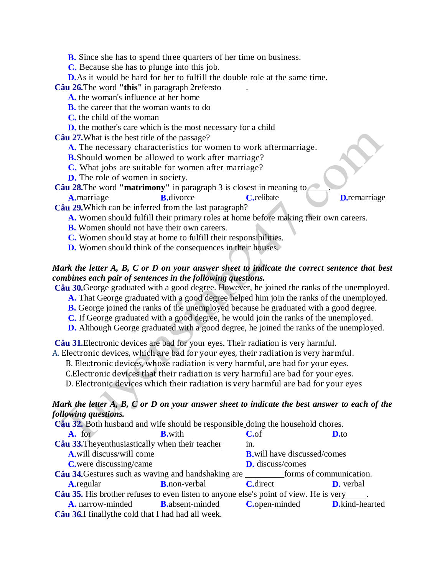**B.** Since she has to spend three quarters of her time on business.

**C.** Because she has to plunge into this job.

**D.**As it would be hard for her to fulfill the double role at the same time.

**Câu 26.**The word **"this"** in paragraph 2refersto .

**A.** the woman's influence at her home

**B.** the career that the woman wants to do

**C.** the child of the woman

**D.** the mother's care which is the most necessary for a child

**Câu 27.**What is the best title of the passage?

**A.** The necessary characteristics for women to work aftermarriage.

**B.**Should **w**omen be allowed to work after marriage?

**C.** What jobs are suitable for women after marriage?

**D.** The role of women in society.

**Câu 28.**The word **"matrimony"** in paragraph 3 is closest in meaning to\_\_\_\_\_. **A.**marriage **B.**divorce **C.**celibate **D.**remarriage

**Câu 29.**Which can be inferred from the last paragraph?

**A.** Women should fulfill their primary roles at home before making their own careers.

**B.** Women should not have their own careers.

- **C.** Women should stay at home to fulfill their responsibilities.
- **D.** Women should think of the consequences in their houses.

# *Mark the letter A, B, C or D on your answer sheet to indicate the correct sentence that best combines each pair of sentences in the following questions.*

**Câu 30.**George graduated with a good degree. However, he joined the ranks of the unemployed.

- **A.** That George graduated with a good degree helped him join the ranks of the unemployed.
- **B.** George joined the ranks of the unemployed because he graduated with a good degree.
- **C.** If George graduated with a good degree, he would join the ranks of the unemployed.
- **D.** Although George graduated with a good degree, he joined the ranks of the unemployed.

**Câu 31.**Electronic devices are bad for your eyes. Their radiation is very harmful.

A. Electronic devices, which are bad for your eyes, their radiation is very harmful.

B. Electronic devices, whose radiation is very harmful, are bad for your eyes.

C.Electronic devices that their radiation is very harmful are bad for your eyes.

D. Electronic devices which their radiation is very harmful are bad for your eyes

## *Mark the letter A, B, C or D on your answer sheet to indicate the best answer to each of the following questions.*

| Câu 32. Both husband and wife should be responsible doing the household chores.                |                       |                                      |                                              |
|------------------------------------------------------------------------------------------------|-----------------------|--------------------------------------|----------------------------------------------|
| $A.$ for                                                                                       | <b>B</b> .with        | $C_{\rm o}$ f                        | $D$ , to                                     |
| <b>Câu 33.</b> The yenthus iastically when their teacher in.                                   |                       |                                      |                                              |
| <b>A.</b> will discuss/will come                                                               |                       | <b>B</b> , will have discussed/comes |                                              |
| <b>C</b> , were discussing/came                                                                |                       | <b>D.</b> discuss/comes              |                                              |
| <b>Câu 34.</b> Gestures such as waving and handshaking are <u>seen forms</u> of communication. |                       |                                      |                                              |
| <b>A</b> .regular                                                                              | <b>B</b> , non-verbal | <b>C</b> .direct                     | <b>D.</b> verbal                             |
| <b>Câu 35.</b> His brother refuses to even listen to anyone else's point of view. He is very   |                       |                                      |                                              |
| <b>A.</b> narrow-minded <b>B.</b> absent-minded                                                |                       |                                      | <b>C.</b> open-minded <b>D.</b> kind-hearted |
| Câu 36. I finally the cold that I had had all week.                                            |                       |                                      |                                              |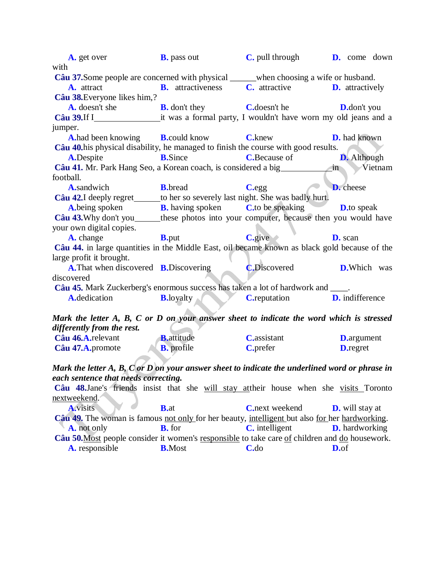**A.** get over **B.** pass out **C.** pull through **D.** come down with **Câu 37.**Some people are concerned with physical when choosing a wife or husband. **A.** attract **B.** attractiveness **C.** attractive **D.** attractively **Câu 38.**Everyone likes him,? **A.** doesn't she **B.** don't they **C.**doesn't he **D.**don't you **Câu 39.**If I it was a formal party, I wouldn't have worn my old jeans and a jumper. **A.**had been knowing **B.**could know **C.**knew **D.** had known **Câu 40.**his physical disability, he managed to finish the course with good results. **A.**Despite **B.**Since **C.**Because of **D.** Although **Câu 41.** Mr. Park Hang Seo, a Korean coach, is considered a big in Vietnam football. **A.**sandwich **B.**bread **C.**egg **D.** cheese **Câu 42.** I deeply regret to her so severely last night. She was badly hurt. **A.**being spoken **B.** having spoken **C.**to be speaking **D.**to speak **Câu 43.**Why don't you these photos into your computer, because then you would have your own digital copies. **A.** change **B.** put **C.**give **D.** scan **Câu 44.** in large quantities in the Middle East, oil became known as black gold because of the large profit it brought. **A.**That when discovered **B.**Discovering **C.**Discovered **D.**Which was discovered **Câu 45.** Mark Zuckerberg's enormous success has taken a lot of hardwork and \_\_\_\_. **A.**dedication **B.**loyalty **C.**reputation **D.** indifference *Mark the letter A, B, C or D on your answer sheet to indicate the word which is stressed differently from the rest.* **Câu 46.A.**relevant **B.**attitude **C.**assistant **D.**argument **Câu 47.A.**promote **B.** profile **C.**prefer **D.**regret

*Mark the letter A, B, C or D on your answer sheet to indicate the underlined word or phrase in each sentence that needs correcting.*

**Câu 48.**Jane's friends insist that she will stay attheir house when she visits Toronto nextweekend.

**A.**visits **B.**at **C.**next weekend **D.** will stay at **Câu 49.** The woman is famous not only for her beauty, intelligent but also for her hardworking. **A.** not only **B.** for **C.** intelligent **D.** hardworking **Câu 50.**Most people consider it women's responsible to take care of children and do housework. **A.** responsible **B.**Most **C.**do **D.**of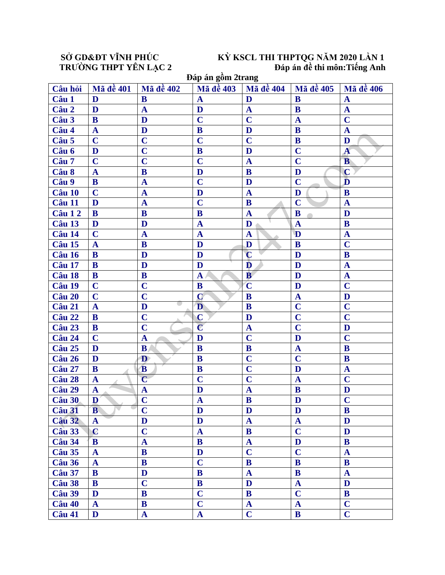# SỔ GD&ĐT VĨNH PHÚC<br>
TRƯỜNG THPT YÊN LẠC 2<br>
Dáp án đề thi môn:Tiếng Anh<br>
Dáp án đề thi môn:Tiếng Anh<br>
Dán án gồm 2trang

| Đáp án gồm 2trang |                  |                         |                         |                  |                         |                         |
|-------------------|------------------|-------------------------|-------------------------|------------------|-------------------------|-------------------------|
| Câu hỏi           | <b>Mã đề 401</b> | <b>Mã đề 402</b>        | Mã đề 403               | <b>Mã đề 404</b> | <b>Mã đề 405</b>        | Mã đề 406               |
| Câu 1             | D                | B                       | $\mathbf A$             | D                | B                       | $\mathbf A$             |
| Câu 2             | D                | $\mathbf{A}$            | D                       | $\mathbf{A}$     | $\bf{B}$                | $\mathbf{A}$            |
| Câu 3             | B                | D                       | $\overline{C}$          | $\mathbf C$      | $\mathbf A$             | $\overline{\mathbf{C}}$ |
| Câu 4             | $\mathbf{A}$     | D                       | $\bf{B}$                | D                | $\bf{B}$                | $\mathbf A$             |
| Câu 5             | $\mathbf C$      | $\overline{\mathbf{C}}$ | $\overline{\mathbf{C}}$ | $\overline{C}$   | $\bf{B}$                | D                       |
| Câu 6             | D                | $\overline{C}$          | $\mathbf{B}$            | D                | $\overline{C}$          | $\mathbf{A}$            |
| Câu 7             | $\mathbf C$      | $\overline{C}$          | $\overline{C}$          | $\mathbf{A}$     | $\overline{C}$          | B                       |
| Câu 8             | $\mathbf{A}$     | $\mathbf{B}$            | D                       | B                | D                       | $\mathbf C$             |
| Câu 9             | $\bf{B}$         | $\mathbf{A}$            | $\overline{C}$          | D                | $\overline{C}$          | D                       |
| Câu 10            | $\mathbf C$      | $\mathbf{A}$            | D                       | $\mathbf{A}$     | D                       | $\mathbf{B}$            |
| Câu 11            | D                | $\mathbf{A}$            | $\overline{C}$          | ${\bf B}$        | $\overline{C}$          | $\mathbf{A}$            |
| Câu 12            | B                | $\mathbf{B}$            | B                       | $\mathbf A$      | B                       | D                       |
| Câu 13            | D                | D                       | $\mathbf{A}$            | D                | $\mathbf{A}$            | B                       |
| Câu 14            | $\mathbf C$      | $\mathbf{A}$            | $\mathbf A$             | $\mathbf A$      | D                       | $\mathbf{A}$            |
| Câu 15            | $\mathbf A$      | $\mathbf{B}$            | D                       | D                | $\bf{B}$                | $\mathbf C$             |
| Câu 16            | B                | D                       | D                       | $\overline{C}$   | D                       | $\mathbf{B}$            |
| Câu 17            | B                | D                       | D                       | D                | D                       | $\mathbf A$             |
| Câu 18            | B                | B                       | $\mathbf{A}$            | $\mathbf{B}$     | D                       | $\mathbf{A}$            |
| Câu 19            | $\mathbf C$      | $\overline{C}$          | B                       | $\mathbf C$      | D                       | $\overline{C}$          |
| Câu 20            | $\overline{C}$   | $\overline{\mathbf{C}}$ | $\overline{C}$          | $\mathbf{B}$     | $\mathbf{A}$            | D                       |
| Câu 21            | $\mathbf{A}$     | D                       | D                       | $\bf{B}$         | $\overline{\mathbf{C}}$ | $\overline{C}$          |
| Câu 22            | B                | $\overline{C}$          | $\mathbf C$             | D                | $\overline{C}$          | $\overline{\mathbf{C}}$ |
| Câu 23            | B                | $\overline{\mathbf{C}}$ | $\overline{\mathbf{C}}$ | ${\bf A}$        | $\overline{C}$          | D                       |
| Câu 24            | $\mathbf C$      | $\mathbf{A}$            | D                       | $\overline{C}$   | D                       | $\overline{C}$          |
| Câu 25            | D                | B                       | B                       | B                | $\mathbf A$             | B                       |
| Câu 26            | D                | D                       | B                       | $\overline{C}$   | $\overline{C}$          | B                       |
| Câu 27            | B                | B                       | B                       | $\mathbf C$      | D                       | $\mathbf A$             |
| Câu 28            | $\mathbf{A}$     | $\overline{\mathbf{C}}$ | $\overline{C}$          | $\mathbf C$      | $\mathbf{A}$            | $\mathbf C$             |
| Câu 29            | $\mathbf{A}$     | $\overline{\mathbf{A}}$ | D                       | $\mathbf{A}$     | $\bf{B}$                | D                       |
| Câu 30            | $\mathbf{D}$     | $\overline{\mathbf{C}}$ | $\mathbf{A}$            | $\bf{B}$         | $\mathbf{D}$            | $\overline{C}$          |
| Câu 31            | B                | $\overline{\mathbf{C}}$ | D                       | D                | D                       | B                       |
| Câu 32            | $\mathbf{A}$     | D                       | D                       | $\mathbf{A}$     | $\mathbf{A}$            | D                       |
| Câu 33            | $\mathbf C$      | $\overline{\mathbf{C}}$ | $\mathbf{A}$            | $\bf{B}$         | $\overline{C}$          | D                       |
| Câu 34            | B                | $\mathbf A$             | B                       | $\mathbf{A}$     | D                       | B                       |
| Câu 35            | $\mathbf{A}$     | B                       | D                       | $\mathbf C$      | $\overline{C}$          | $\mathbf{A}$            |
| Câu 36            | $\mathbf{A}$     | $\bf{B}$                | $\mathbf C$             | B                | $\mathbf{B}$            | B                       |
| Câu 37            | B                | D                       | $\mathbf{B}$            | $\mathbf{A}$     | $\bf{B}$                | $\mathbf{A}$            |
| Câu 38            | B                | $\overline{C}$          | $\bf{B}$                | D                | $\mathbf A$             | D                       |
| Câu 39            | D                | $\mathbf{B}$            | $\overline{C}$          | B                | $\overline{C}$          | $\bf{B}$                |
| Câu 40            | $\mathbf{A}$     | B                       | $\overline{\mathbf{C}}$ | $\mathbf A$      | $\mathbf{A}$            | $\mathbf C$             |
| Câu 41            | D                | $\mathbf{A}$            | $\mathbf{A}$            | $\mathbf C$      | $\mathbf{B}$            | $\mathbf C$             |